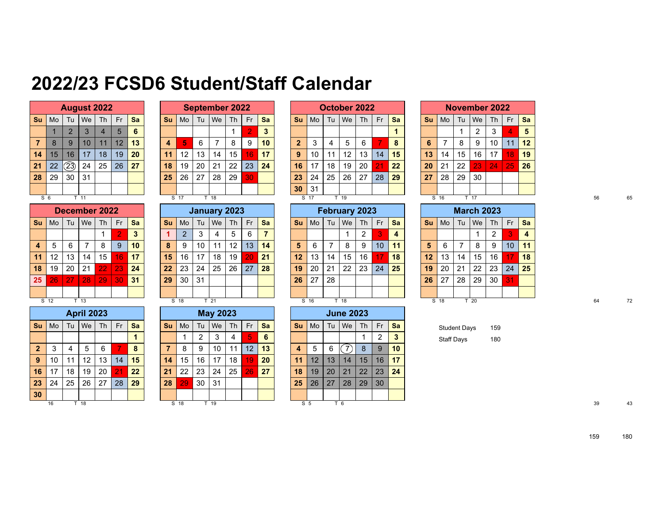## **2022/23 FCSD6 Student/Staff Calendar**

|                |    | <b>August 2022</b> |    |                |    |    |
|----------------|----|--------------------|----|----------------|----|----|
| Su             | Mo | Tu                 | We | Th             | Fr | Sa |
|                |    | $\overline{2}$     | 3  | $\overline{4}$ | 5  | 6  |
| $\overline{7}$ | 8  | 9                  | 10 | 11             | 12 | 13 |
| 14             | 15 | 16                 | 17 | 18             | 19 | 20 |
| 21             | 22 | 23)                | 24 | 25             | 26 | 27 |
| 28             | 29 | 30                 | 31 |                |    |    |
|                |    |                    |    |                |    |    |
| c              | a  | T                  | 11 |                |    |    |

|                         |    |    | December 2022 |    |                |    |
|-------------------------|----|----|---------------|----|----------------|----|
| Su                      | Mo | Tu | We            | Th | Fr             | Sa |
|                         |    |    |               | 1  | $\overline{2}$ | 3  |
| $\overline{\mathbf{4}}$ | 5  | 6  | 7             | 8  | 9              | 10 |
| 11                      | 12 | 13 | 14            | 15 | 16             | 17 |
| 18                      | 19 | 20 | 21            | 22 | 23             | 24 |
| 25                      | 26 | 27 | 28            | 29 | 30             | 31 |
|                         |    |    |               |    |                |    |
| S                       | 12 |    | 13            |    |                |    |

|                |    |    | <b>April 2023</b> |    |    |    |
|----------------|----|----|-------------------|----|----|----|
| Su             | Mo | Tu | We                | Th | Fr | Sa |
|                |    |    |                   |    |    | 1  |
| $\overline{2}$ | 3  | 4  | 5                 | 6  |    | 8  |
| 9              | 10 | 11 | 12                | 13 | 14 | 15 |
| 16             | 17 | 18 | 19                | 20 | 21 | 22 |
| 23             | 24 | 25 | 26                | 27 | 28 | 29 |
| 30             |    |    |                   |    |    |    |
|                | 16 |    | 18                |    |    |    |

|    |                      |      | <b>August 2022</b> |           |    |           |           |      |    | <b>September 2022</b> |           |                |    |             |      | October 2022 |      |           |     |           |           |                | <b>November 2022</b> |      |     |     |              |
|----|----------------------|------|--------------------|-----------|----|-----------|-----------|------|----|-----------------------|-----------|----------------|----|-------------|------|--------------|------|-----------|-----|-----------|-----------|----------------|----------------------|------|-----|-----|--------------|
| Su | Mo                   | Tu   | We                 | <b>Th</b> | Fr | <b>Sa</b> | <b>Su</b> | Mo   | Tu | We                    | <b>Th</b> | Fr             | Sa | Su          | Mo   | Tu           | We   | <b>Th</b> | Fr. | <b>Sa</b> | <b>Su</b> | M <sub>o</sub> | Tu                   | We   | Th' | Fr. | <b>Sa</b>    |
|    |                      |      |                    |           | 5  | 6         |           |      |    |                       |           | $\overline{2}$ | 3  |             |      |              |      |           |     |           |           |                |                      | 2    |     | 4   | - 5          |
| 7  | $\Omega$<br>$\Omega$ | 9    | 10                 | 11        | 12 | 13        | 4         | 5    | 6  |                       | 8         | 9              | 10 | $\mathbf 2$ | 3    | 4            | 5    | 6         |     | 8         | 6         |                | 8                    | 9    | 10  | 11  | 12           |
| 14 | 15                   | 16   | 17                 | 18        | 19 | 20        | 11        | 12   | 13 | 14                    | 15        | 16             | 17 | 9           | 10   | 11           | 12   | 13        | 14  | 15        | 13        | 14             | 15                   | 16   | 17  | 18  | $ 19\rangle$ |
| 21 | 22                   | (23) | 24                 | 25        | 26 | 27        | 18        | 19   | 20 | 21                    | 22        | 23             | 24 | 16          | 17   | 18           | 19   | 20        | 21  | 22        | 20        | 21             | 22                   | 23   | 24  | 25  | 26           |
| 28 | 29                   | 30   | 31                 |           |    |           | 25        | 26   | 27 | 28                    | 29        | 30             |    | 23          | 24   | 25           | 26   | 27        | 28  | 29        | 27        | 28             | 29                   | 30   |     |     |              |
|    |                      |      |                    |           |    |           |           |      |    |                       |           |                |    | 30          | 31   |              |      |           |     |           |           |                |                      |      |     |     |              |
|    | S <sub>6</sub>       |      | $T$ 11             |           |    |           |           | S 17 |    | T 18                  |           |                |    |             | S 17 |              | T 19 |           |     |           |           | S 16           |                      | T 17 |     |     |              |

|                |                |    | <b>January 2023</b> |    |    |    |
|----------------|----------------|----|---------------------|----|----|----|
| Su             | Mo             | Tu | We                  | Th | Fr | Sa |
| 1              | $\overline{2}$ | 3  | 4                   | 5  | 6  |    |
| 8              | 9              | 10 | 11                  | 12 | 13 | 14 |
| 15             | 16             | 17 | 18                  | 19 | 20 | 21 |
| 22             | 23             | 24 | 25                  | 26 | 27 | 28 |
| 29             | 30             | 31 |                     |    |    |    |
|                |                |    |                     |    |    |    |
| $\overline{s}$ | 18             |    | 21                  |    |    |    |

|                |         |    | <b>April 2023</b> |           |           |           |           |                |    | <b>May 2023</b> |           |                 |           |                |                 |                 | <b>June 2023</b> |                      |    |                 |                     |     |  |    |  |
|----------------|---------|----|-------------------|-----------|-----------|-----------|-----------|----------------|----|-----------------|-----------|-----------------|-----------|----------------|-----------------|-----------------|------------------|----------------------|----|-----------------|---------------------|-----|--|----|--|
|                | Su   Mo |    | Tu   We           | <b>Th</b> | <b>Fr</b> | <b>Sa</b> | <b>Su</b> | Mo             | Tu | We Th           |           | <b>Fr</b>       | <b>Sa</b> | <b>Su</b>      | $ $ Mo $ $      |                 | Tu   We          | Th                   | Fr | Sa              | <b>Student Days</b> | 159 |  |    |  |
|                |         |    |                   |           |           |           |           |                |    | 3               | 4         |                 | -6        |                |                 |                 |                  |                      | ົ  | $\mathbf{3}$    | Staff Days          | 180 |  |    |  |
| 2 <sub>2</sub> | -3      | 4  | 5                 | 6         |           | 8         | ۰,        | 8              | 9  | 10              | 11        | 12 <sup>1</sup> | 13        | $\overline{4}$ | 5               | 6               | (7)              | 8                    | 9  | 10 <sup>°</sup> |                     |     |  |    |  |
| 9   10         |         |    | 12                | 13        | 14        | 15        | 14        | 15             | 16 | 17              | 18        |                 | <b>20</b> | -11            | 12 <sup>1</sup> | 13 <sub>1</sub> | 14               | 15 <sup>1</sup>      | 16 | 17              |                     |     |  |    |  |
| 16   17        |         | 18 | 19                | 20        | 21        | 22        | 21        | $^{\prime}$ 22 | 23 | 24              | $25 \mid$ | 267             | 27        | 18             | 19 <sup>1</sup> | 20 <sup>1</sup> | 21               | 22 <sub>2</sub>      | 23 | 24              |                     |     |  |    |  |
| 23 24          |         | 25 | . 26              | 27        | 28        | <b>29</b> | 28        | 29             | 30 | 31              |           |                 |           | 25             |                 | $26$   27       |                  | $28 \mid 29 \mid 30$ |    |                 |                     |     |  |    |  |
| 30             |         |    |                   |           |           |           |           |                |    |                 |           |                 |           |                |                 |                 |                  |                      |    |                 |                     |     |  |    |  |
|                | 16      |    | T 18              |           |           |           |           | S 18           |    | T 19            |           |                 |           |                | S <sub>5</sub>  |                 | T 6              |                      |    |                 |                     |     |  | 39 |  |

|                |    |    | October 2022 |    |    |    |
|----------------|----|----|--------------|----|----|----|
| Su             | Mo | Tu | We           | Th | Fr | Sa |
|                |    |    |              |    |    |    |
| $\overline{2}$ | 3  | 4  | 5            | 6  | 7  | 8  |
| 9              | 10 | 11 | 12           | 13 | 14 | 15 |
| 16             | 17 | 18 | 19           | 20 | 21 | 22 |
| 23             | 24 | 25 | 26           | 27 | 28 | 29 |
| 30             | 31 |    |              |    |    |    |
| S              | 17 |    | 19           |    |    |    |

|                         |      |    | December 2022   |           |             |           |           |      |    | January 2023    |           |                 |    |    |      |    | <b>February 2023</b> |           |                 |    |           |      |     | <b>March 2023</b> |           |             |                         |
|-------------------------|------|----|-----------------|-----------|-------------|-----------|-----------|------|----|-----------------|-----------|-----------------|----|----|------|----|----------------------|-----------|-----------------|----|-----------|------|-----|-------------------|-----------|-------------|-------------------------|
| Su                      | Mo   | Tu | We              | <b>Th</b> | Fr.         | <b>Sa</b> | <b>Su</b> | Mo   | Tu | We              | <b>Th</b> | Fr              | Sa | Su | Mo   | Tu | We                   | <b>Th</b> | Fr.             | Sa | <b>Su</b> | Mo   | Tu. | We                | <b>Th</b> | <b>Fr</b>   | <b>Sa</b>               |
|                         |      |    |                 |           |             | 3         |           | ົ    | ີ  | 4               |           | 6               | 7  |    |      |    |                      | 2         | 3               | 4  |           |      |     |                   | 2         | B           | $\overline{\mathbf{4}}$ |
| $\overline{\mathbf{4}}$ | 5    | 6  |                 | 8         | 9           | 10        | 8         | 9    | 10 | 11              | 12        | 13 <sup>°</sup> | 14 | 5  | 6    |    | 8                    | 9         | 10 <sup>°</sup> | 11 | 5         | 6    | ⇁   | 8                 | 9         | 10          | 11                      |
| 11                      | 12   | 13 | 14              | 15        | <b>16'</b>  | 17        | 15        | 16   | 17 | 18              | 19        | 20              | 21 | 12 | 13   | 14 | 15                   | 16        |                 | 18 | 12        | 13   | 14  | 15                | 16        | 17          | 18                      |
| 18                      | 19   | 20 | 21              | 22        | $\sqrt{23}$ | 24        | 22        | 23   | 24 | 25              | 26        | 27              | 28 | 19 | 20   | 21 | 22                   | 23        | 24              | 25 | 19        | 20   | 21  | 22                | 23        | 24          | 25                      |
| 25 I                    | 26'  | 27 | 28              | 29        | 30          | 31        | 29        | 30   | 31 |                 |           |                 |    | 26 | 27   | 28 |                      |           |                 |    | 26        | 27   | 28  | 29                | 30        | <b>131'</b> |                         |
|                         |      |    |                 |           |             |           |           |      |    |                 |           |                 |    |    |      |    |                      |           |                 |    |           |      |     |                   |           |             |                         |
|                         | S 12 |    | T <sub>13</sub> |           |             |           |           | S 18 |    | T <sub>21</sub> |           |                 |    |    | S 16 |    | T 18                 |           |                 |    |           | S 18 |     | T <sub>20</sub>   |           |             |                         |

|                         |    |    | <b>June 2023</b> |    |    |    |
|-------------------------|----|----|------------------|----|----|----|
| Su                      | Mo | Tu | We               | Th | Fr | Sa |
|                         |    |    |                  |    | 2  | 3  |
| $\overline{\mathbf{4}}$ | 5  | 6  |                  | 8  | 9  | 10 |
| 11                      | 12 | 13 | 14               | 15 | 16 | 17 |
| 18                      | 19 | 20 | 21               | 22 | 23 | 24 |
| 25                      | 26 | 27 | 28               | 29 | 30 |    |
|                         |    |    |                  |    |    |    |
| S                       | 5  |    | 6                |    |    |    |

|     |                 |               | <b>August 2022</b> |    |    |           |                |                 |    | <b>September 2022</b> |           |           |                 |                 |      | October 2022 |        |     |           |           |           |      |    | <b>November 2022</b> |                       |     |    |
|-----|-----------------|---------------|--------------------|----|----|-----------|----------------|-----------------|----|-----------------------|-----------|-----------|-----------------|-----------------|------|--------------|--------|-----|-----------|-----------|-----------|------|----|----------------------|-----------------------|-----|----|
|     | Mo l            |               | Tu   We   Th       |    | Fr | <b>Sa</b> | . Su∕          | $ $ Mo $ $      |    | Tu I We               | <b>Th</b> | <b>Fr</b> | <b>Sa</b>       | <b>Su</b>       | Mo   | Tu           | l Well | Th  | <b>Fr</b> | <b>Sa</b> | <b>Su</b> |      |    | Mo Tu We I           | <b>Th</b>             | Fr. | Sa |
|     |                 |               |                    |    |    | 6         |                |                 |    |                       |           |           | 3               |                 |      |              |        |     |           |           |           |      |    | ົ                    | 3                     | 4   | 5  |
|     | 8               | 9             | 10                 | 11 | 12 | 13        | $\overline{4}$ | 5               | 6  |                       | 8         | 9         | 10 <sup>°</sup> | $\mathbf{2}$    | -3   | 4            | 5      |     |           | 8         | 6         |      | 8  | 9                    | 10                    | 11  | 12 |
|     | 15              | 16            | 17                 | 18 | 19 | <b>20</b> | 11             | 12 <sup>°</sup> | 13 | 14                    | 15        | 16        | 17              | 9               | 10   | 11           | 12     | 13  | 14        | 15        | 13        | 14   | 15 | 16                   | 17                    | 18  | 19 |
|     | 22 <sub>1</sub> | $\circled{2}$ | 24                 | 25 | 26 | 27        | 18             | 19              | 20 | 21                    | 22        | 23        | 24              | 16              | 17   | 18           | 19     | -20 |           | 22        | <b>20</b> | l 21 | 22 | 23 <sub>1</sub>      | $\vert$ 24 $\vert$ 25 |     | 26 |
|     | 29              | 30            | 31                 |    |    |           | 25             | 26              | 27 | 28                    | 29        | 30.       |                 | 23              | 24   | 25           | 26     | 27  | 28        | 29        | 27        | 28   | 29 | 30                   |                       |     |    |
|     |                 |               |                    |    |    |           |                |                 |    |                       |           |           |                 | 30 <sub>2</sub> | 31   |              |        |     |           |           |           |      |    |                      |                       |     |    |
| S 6 |                 |               | $T$ 11             |    |    |           |                | S 17            |    | 18                    |           |           |                 |                 | S 17 |              | $-19$  |     |           |           |           | S 16 |    | T 17                 |                       |     |    |

|                 |                 |                 |                 | December 2022 |     |           |              |      |      |                 | January 2023    |                 |           |                 |                 |                | <b>February 2023</b> |                |                   |                |           |                | <b>March 2023</b> |                 |                 |                 |           |
|-----------------|-----------------|-----------------|-----------------|---------------|-----|-----------|--------------|------|------|-----------------|-----------------|-----------------|-----------|-----------------|-----------------|----------------|----------------------|----------------|-------------------|----------------|-----------|----------------|-------------------|-----------------|-----------------|-----------------|-----------|
|                 | <b>Su</b> lMo   |                 | Tu   We         | Th            | Fr  | <b>Sa</b> | <b>Su</b>    | Mo   | l Tu |                 | We Th           | - Fr            | <b>Sa</b> | <b>Sur</b>      | Mo I            |                | Tu I We I            | Th             | Fr.               | <b>Sa</b>      | <b>Su</b> | M <sub>o</sub> |                   | Tu   We         | Th <sub>1</sub> | Fr              | <b>Sa</b> |
|                 |                 |                 |                 |               |     | 3         |              | ົ    |      | 4               |                 | 6               |           |                 |                 |                |                      | $\overline{2}$ |                   | $\overline{4}$ |           |                |                   |                 | 2               |                 |           |
| $\overline{4}$  | -5              | 6               |                 | 8             | 9   | 10        | $\mathbf{8}$ | -9   | 10   | 11              | 12 <sub>h</sub> | 13 <sup>1</sup> | 14        | 5 <sub>1</sub>  | 6               | $\overline{7}$ | 8                    | 9              | 10 <sup>°</sup>   | 11             | 5         | 6              |                   | 8               | 9               | 10 <sup>°</sup> | 11        |
| 11 <sup>1</sup> | 12              | 13              | 14              | 15            | 16  | 17        | 15           | 16   | 17   | 18              | 19 I            |                 | 21        | 12 <sup>2</sup> | 13 <sup>1</sup> | 14             | 15                   | 16             |                   | 18             | 12        | 13             | 14                | 15              | 16 <sup>1</sup> |                 | 18        |
|                 | 18 19           | 20 <sup>1</sup> | 21              | 22.           | -23 | 24        | 22           | l 23 | 24   | 25              | 26 27           |                 | 28        | 19 <sup>°</sup> | 20 <sub>1</sub> | 21             | 22                   |                | $23 \mid 24 \mid$ | 25             | 19        | $\sqrt{20}$    | 21                | 22              | 23              | $\sqrt{24}$     | 25        |
| $25-$           | 26 <sub>1</sub> | / 27/           | 28              | 29            | -30 | 31        | 29           | 30   | 31   |                 |                 |                 |           | 26              | 27              | 28             |                      |                |                   |                | 26        | 27             | 28                | 29              | 30 <sup>1</sup> | 31              |           |
|                 |                 |                 |                 |               |     |           |              |      |      |                 |                 |                 |           |                 |                 |                |                      |                |                   |                |           |                |                   |                 |                 |                 |           |
|                 | S 12            |                 | T <sub>13</sub> |               |     |           |              | S 18 |      | T <sub>21</sub> |                 |                 |           |                 | S 16            |                | T 18                 |                |                   |                |           | S 18           |                   | T <sub>20</sub> |                 |                 |           |

| <b>Student Days</b> | 159 |
|---------------------|-----|
| <b>Staff Days</b>   | 180 |

180